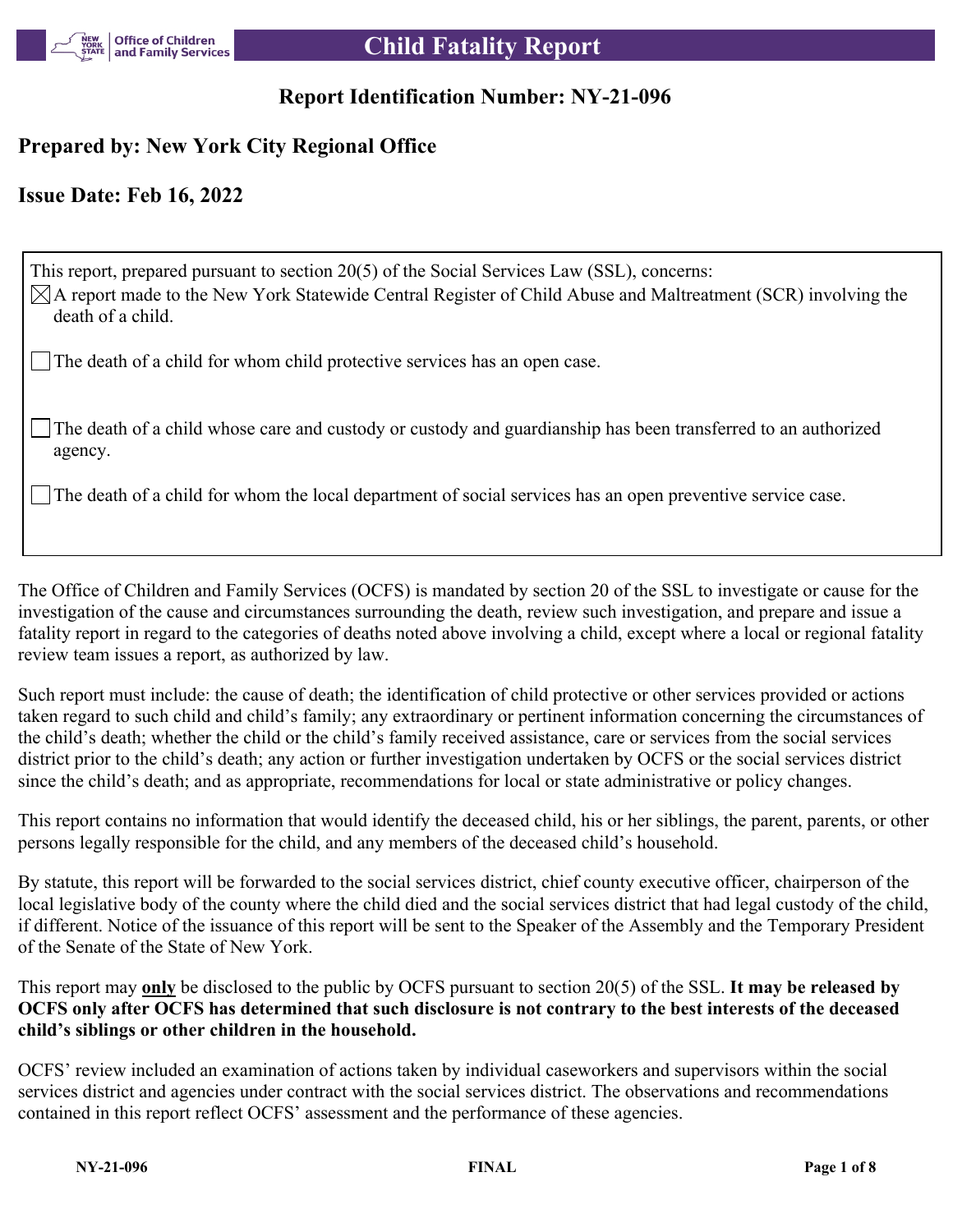

## **Report Identification Number: NY-21-096**

## **Prepared by: New York City Regional Office**

## **Issue Date: Feb 16, 2022**

This report, prepared pursuant to section 20(5) of the Social Services Law (SSL), concerns:  $\boxtimes$ A report made to the New York Statewide Central Register of Child Abuse and Maltreatment (SCR) involving the death of a child.

The death of a child for whom child protective services has an open case.

The death of a child whose care and custody or custody and guardianship has been transferred to an authorized agency.

The death of a child for whom the local department of social services has an open preventive service case.

The Office of Children and Family Services (OCFS) is mandated by section 20 of the SSL to investigate or cause for the investigation of the cause and circumstances surrounding the death, review such investigation, and prepare and issue a fatality report in regard to the categories of deaths noted above involving a child, except where a local or regional fatality review team issues a report, as authorized by law.

Such report must include: the cause of death; the identification of child protective or other services provided or actions taken regard to such child and child's family; any extraordinary or pertinent information concerning the circumstances of the child's death; whether the child or the child's family received assistance, care or services from the social services district prior to the child's death; any action or further investigation undertaken by OCFS or the social services district since the child's death; and as appropriate, recommendations for local or state administrative or policy changes.

This report contains no information that would identify the deceased child, his or her siblings, the parent, parents, or other persons legally responsible for the child, and any members of the deceased child's household.

By statute, this report will be forwarded to the social services district, chief county executive officer, chairperson of the local legislative body of the county where the child died and the social services district that had legal custody of the child, if different. Notice of the issuance of this report will be sent to the Speaker of the Assembly and the Temporary President of the Senate of the State of New York.

This report may **only** be disclosed to the public by OCFS pursuant to section 20(5) of the SSL. **It may be released by OCFS only after OCFS has determined that such disclosure is not contrary to the best interests of the deceased child's siblings or other children in the household.**

OCFS' review included an examination of actions taken by individual caseworkers and supervisors within the social services district and agencies under contract with the social services district. The observations and recommendations contained in this report reflect OCFS' assessment and the performance of these agencies.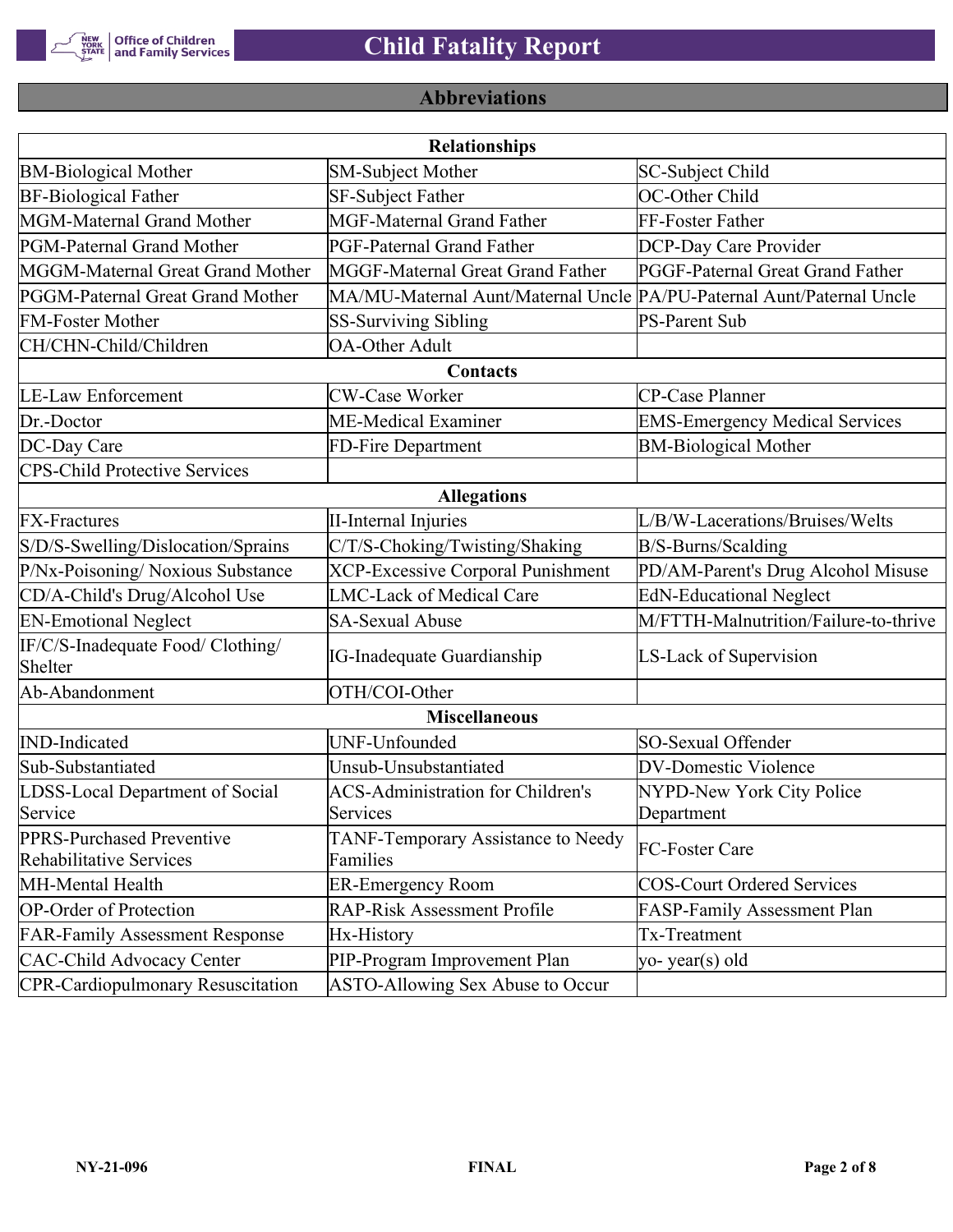

# **Abbreviations**

|                                                      | <b>Relationships</b>                                                  |                                       |
|------------------------------------------------------|-----------------------------------------------------------------------|---------------------------------------|
| <b>BM-Biological Mother</b>                          | <b>SM-Subject Mother</b>                                              | SC-Subject Child                      |
| <b>BF-Biological Father</b>                          | SF-Subject Father                                                     | OC-Other Child                        |
| MGM-Maternal Grand Mother                            | <b>MGF-Maternal Grand Father</b>                                      | FF-Foster Father                      |
| PGM-Paternal Grand Mother                            | PGF-Paternal Grand Father                                             | DCP-Day Care Provider                 |
| MGGM-Maternal Great Grand Mother                     | MGGF-Maternal Great Grand Father                                      | PGGF-Paternal Great Grand Father      |
| PGGM-Paternal Great Grand Mother                     | MA/MU-Maternal Aunt/Maternal Uncle PA/PU-Paternal Aunt/Paternal Uncle |                                       |
| <b>FM-Foster Mother</b>                              | <b>SS-Surviving Sibling</b>                                           | <b>PS-Parent Sub</b>                  |
| CH/CHN-Child/Children                                | <b>OA-Other Adult</b>                                                 |                                       |
|                                                      | Contacts                                                              |                                       |
| <b>LE-Law Enforcement</b>                            | <b>CW-Case Worker</b>                                                 | CP-Case Planner                       |
| Dr.-Doctor                                           | ME-Medical Examiner                                                   | <b>EMS-Emergency Medical Services</b> |
| DC-Day Care                                          | FD-Fire Department                                                    | <b>BM-Biological Mother</b>           |
| <b>CPS-Child Protective Services</b>                 |                                                                       |                                       |
|                                                      | <b>Allegations</b>                                                    |                                       |
| <b>FX-Fractures</b>                                  | <b>II-Internal Injuries</b>                                           | L/B/W-Lacerations/Bruises/Welts       |
| S/D/S-Swelling/Dislocation/Sprains                   | C/T/S-Choking/Twisting/Shaking                                        | B/S-Burns/Scalding                    |
| P/Nx-Poisoning/ Noxious Substance                    | <b>XCP-Excessive Corporal Punishment</b>                              | PD/AM-Parent's Drug Alcohol Misuse    |
| CD/A-Child's Drug/Alcohol Use                        | <b>LMC-Lack of Medical Care</b>                                       | <b>EdN-Educational Neglect</b>        |
| <b>EN-Emotional Neglect</b>                          | <b>SA-Sexual Abuse</b>                                                | M/FTTH-Malnutrition/Failure-to-thrive |
| IF/C/S-Inadequate Food/ Clothing/<br>Shelter         | <b>IG-Inadequate Guardianship</b>                                     | LS-Lack of Supervision                |
| Ab-Abandonment                                       | OTH/COI-Other                                                         |                                       |
|                                                      | <b>Miscellaneous</b>                                                  |                                       |
| <b>IND-Indicated</b>                                 | UNF-Unfounded                                                         | SO-Sexual Offender                    |
| Sub-Substantiated                                    | Unsub-Unsubstantiated                                                 | <b>DV-Domestic Violence</b>           |
| LDSS-Local Department of Social                      | <b>ACS-Administration for Children's</b>                              | NYPD-New York City Police             |
| Service                                              | Services                                                              | Department                            |
| PPRS-Purchased Preventive<br>Rehabilitative Services | TANF-Temporary Assistance to Needy<br>Families                        | FC-Foster Care                        |
| MH-Mental Health                                     | <b>ER-Emergency Room</b>                                              | <b>COS-Court Ordered Services</b>     |
| <b>OP-Order of Protection</b>                        | <b>RAP-Risk Assessment Profile</b>                                    | FASP-Family Assessment Plan           |
| <b>FAR-Family Assessment Response</b>                | Hx-History                                                            | Tx-Treatment                          |
| <b>CAC-Child Advocacy Center</b>                     | PIP-Program Improvement Plan                                          | yo-year(s) old                        |
| <b>CPR-Cardiopulmonary Resuscitation</b>             | ASTO-Allowing Sex Abuse to Occur                                      |                                       |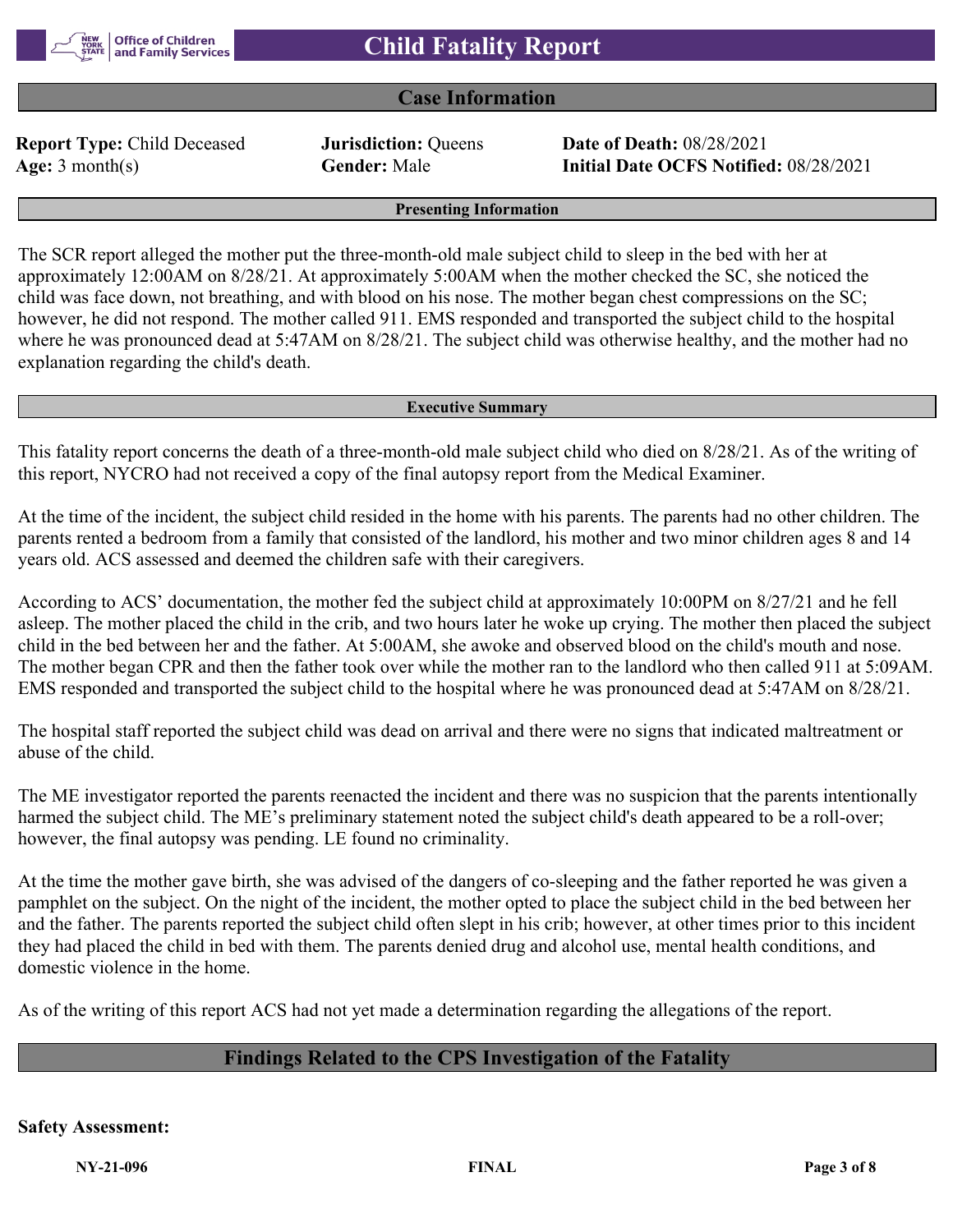

## **Case Information**

**Report Type:** Child Deceased **Jurisdiction:** Queens **Date of Death:** 08/28/2021

**Age:** 3 month(s) **Gender:** Male **Initial Date OCFS Notified:** 08/28/2021

#### **Presenting Information**

The SCR report alleged the mother put the three-month-old male subject child to sleep in the bed with her at approximately 12:00AM on 8/28/21. At approximately 5:00AM when the mother checked the SC, she noticed the child was face down, not breathing, and with blood on his nose. The mother began chest compressions on the SC; however, he did not respond. The mother called 911. EMS responded and transported the subject child to the hospital where he was pronounced dead at 5:47AM on 8/28/21. The subject child was otherwise healthy, and the mother had no explanation regarding the child's death.

#### **Executive Summary**

This fatality report concerns the death of a three-month-old male subject child who died on 8/28/21. As of the writing of this report, NYCRO had not received a copy of the final autopsy report from the Medical Examiner.

At the time of the incident, the subject child resided in the home with his parents. The parents had no other children. The parents rented a bedroom from a family that consisted of the landlord, his mother and two minor children ages 8 and 14 years old. ACS assessed and deemed the children safe with their caregivers.

According to ACS' documentation, the mother fed the subject child at approximately 10:00PM on 8/27/21 and he fell asleep. The mother placed the child in the crib, and two hours later he woke up crying. The mother then placed the subject child in the bed between her and the father. At 5:00AM, she awoke and observed blood on the child's mouth and nose. The mother began CPR and then the father took over while the mother ran to the landlord who then called 911 at 5:09AM. EMS responded and transported the subject child to the hospital where he was pronounced dead at 5:47AM on 8/28/21.

The hospital staff reported the subject child was dead on arrival and there were no signs that indicated maltreatment or abuse of the child.

The ME investigator reported the parents reenacted the incident and there was no suspicion that the parents intentionally harmed the subject child. The ME's preliminary statement noted the subject child's death appeared to be a roll-over; however, the final autopsy was pending. LE found no criminality.

At the time the mother gave birth, she was advised of the dangers of co-sleeping and the father reported he was given a pamphlet on the subject. On the night of the incident, the mother opted to place the subject child in the bed between her and the father. The parents reported the subject child often slept in his crib; however, at other times prior to this incident they had placed the child in bed with them. The parents denied drug and alcohol use, mental health conditions, and domestic violence in the home.

As of the writing of this report ACS had not yet made a determination regarding the allegations of the report.

## **Findings Related to the CPS Investigation of the Fatality**

**Safety Assessment:**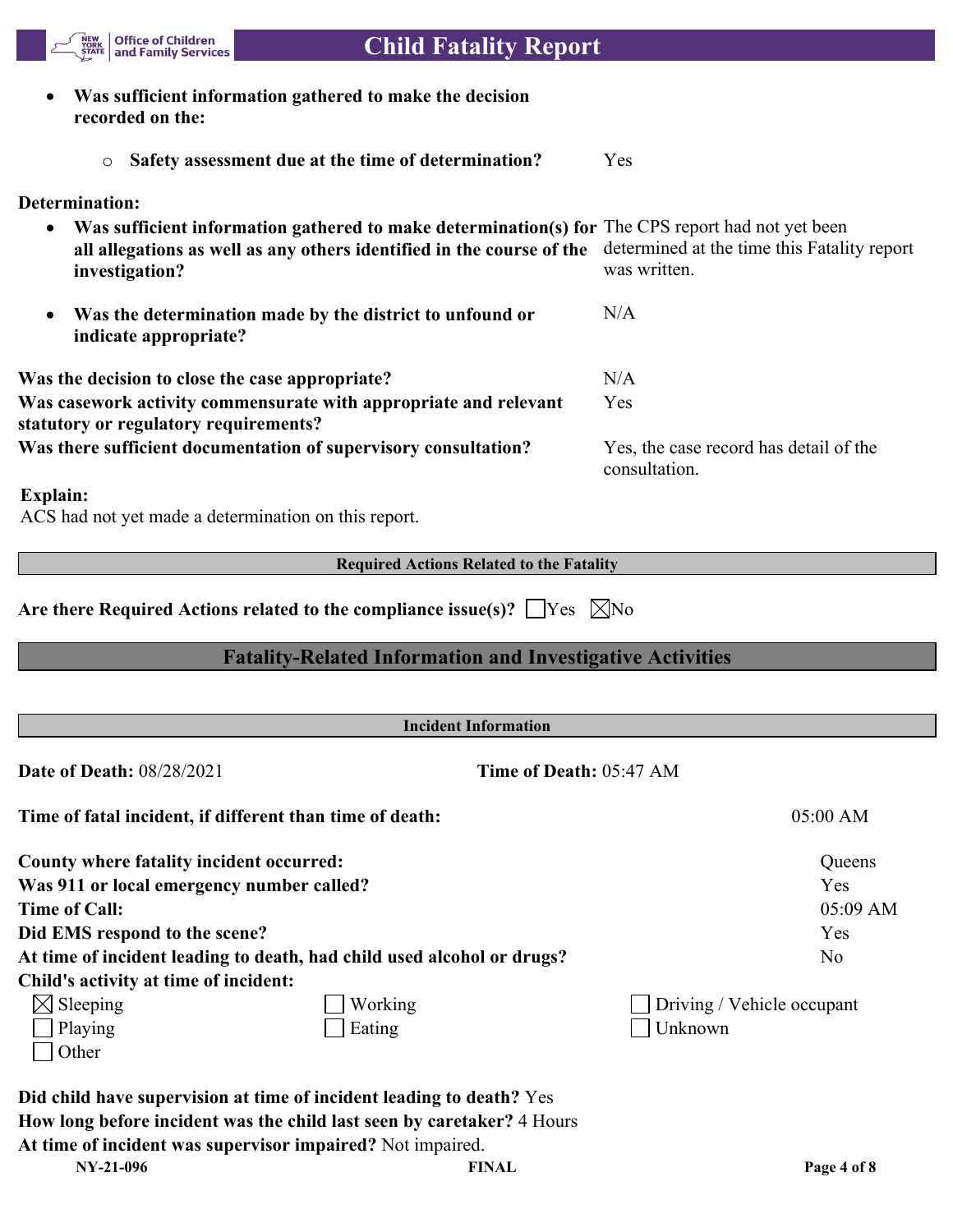

# **Child Fatality Report**

| Was sufficient information gathered to make the decision<br>$\bullet$<br>recorded on the:                                                                                                   |                                                             |
|---------------------------------------------------------------------------------------------------------------------------------------------------------------------------------------------|-------------------------------------------------------------|
| Safety assessment due at the time of determination?<br>$\circ$                                                                                                                              | Yes                                                         |
| Determination:                                                                                                                                                                              |                                                             |
| Was sufficient information gathered to make determination(s) for The CPS report had not yet been<br>all allegations as well as any others identified in the course of the<br>investigation? | determined at the time this Fatality report<br>was written. |
| Was the determination made by the district to unfound or<br>$\bullet$<br>indicate appropriate?                                                                                              | N/A                                                         |
| Was the decision to close the case appropriate?                                                                                                                                             | N/A                                                         |
| Was casework activity commensurate with appropriate and relevant<br>statutory or regulatory requirements?                                                                                   | Yes                                                         |
| Was there sufficient documentation of supervisory consultation?                                                                                                                             | Yes, the case record has detail of the<br>consultation.     |
| Explain:<br>ACS had not yet made a determination on this report.                                                                                                                            |                                                             |
| <b>Required Actions Related to the Fatality</b>                                                                                                                                             |                                                             |
| <b>Fatality-Related Information and Investigative Activities</b>                                                                                                                            |                                                             |
| <b>Incident Information</b>                                                                                                                                                                 |                                                             |
| Date of Death: 08/28/2021                                                                                                                                                                   | Time of Death: 05:47 AM                                     |
| Time of fatal incident, if different than time of death:                                                                                                                                    | 05:00 AM                                                    |
| <b>County where fatality incident occurred:</b>                                                                                                                                             | Queens                                                      |
| Was 911 or local emergency number called?                                                                                                                                                   | Yes                                                         |
| <b>Time of Call:</b>                                                                                                                                                                        | 05:09 AM                                                    |
| Did EMS respond to the scene?                                                                                                                                                               | Yes                                                         |
| At time of incident leading to death, had child used alcohol or drugs?                                                                                                                      | No                                                          |
| Child's activity at time of incident:                                                                                                                                                       |                                                             |
| $\boxtimes$ Sleeping<br>Working                                                                                                                                                             | Driving / Vehicle occupant                                  |
| Eating<br>Playing<br>Other                                                                                                                                                                  | Unknown                                                     |
|                                                                                                                                                                                             |                                                             |
| Did child have supervision at time of incident leading to death? Yes                                                                                                                        |                                                             |

**At time of incident was supervisor impaired?** Not impaired.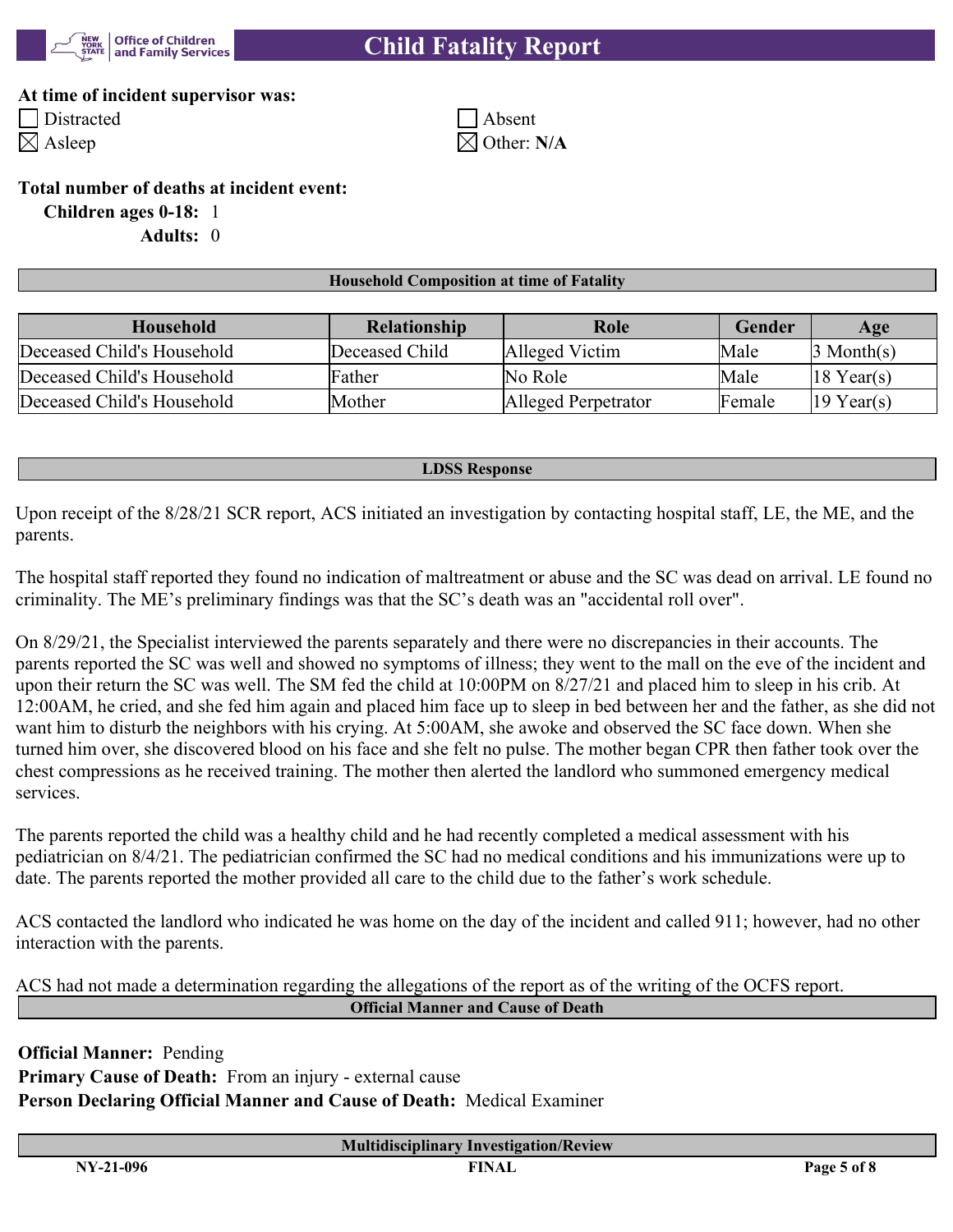

#### **At time of incident supervisor was:**

Distracted Absent  $\boxtimes$  Asleep  $\boxtimes$  Other: N/A

#### **Total number of deaths at incident event:**

**Children ages 0-18:** 1

**Adults:** 0

#### **Household Composition at time of Fatality**

| Household                  | Role<br><b>Relationship</b> |                     | Gender | Age                    |
|----------------------------|-----------------------------|---------------------|--------|------------------------|
| Deceased Child's Household | Deceased Child              | Alleged Victim      | Male   | 3 Month(s)             |
| Deceased Child's Household | Father                      | No Role             | Male   | $18$ Year(s)           |
| Deceased Child's Household | Mother                      | Alleged Perpetrator | Female | $ 19 \text{ Year}(s) $ |

#### **LDSS Response**

Upon receipt of the 8/28/21 SCR report, ACS initiated an investigation by contacting hospital staff, LE, the ME, and the parents.

The hospital staff reported they found no indication of maltreatment or abuse and the SC was dead on arrival. LE found no criminality. The ME's preliminary findings was that the SC's death was an "accidental roll over".

On 8/29/21, the Specialist interviewed the parents separately and there were no discrepancies in their accounts. The parents reported the SC was well and showed no symptoms of illness; they went to the mall on the eve of the incident and upon their return the SC was well. The SM fed the child at 10:00PM on 8/27/21 and placed him to sleep in his crib. At 12:00AM, he cried, and she fed him again and placed him face up to sleep in bed between her and the father, as she did not want him to disturb the neighbors with his crying. At 5:00AM, she awoke and observed the SC face down. When she turned him over, she discovered blood on his face and she felt no pulse. The mother began CPR then father took over the chest compressions as he received training. The mother then alerted the landlord who summoned emergency medical services.

The parents reported the child was a healthy child and he had recently completed a medical assessment with his pediatrician on 8/4/21. The pediatrician confirmed the SC had no medical conditions and his immunizations were up to date. The parents reported the mother provided all care to the child due to the father's work schedule.

ACS contacted the landlord who indicated he was home on the day of the incident and called 911; however, had no other interaction with the parents.

ACS had not made a determination regarding the allegations of the report as of the writing of the OCFS report. **Official Manner and Cause of Death**

**Official Manner:** Pending **Primary Cause of Death:** From an injury - external cause **Person Declaring Official Manner and Cause of Death:** Medical Examiner

**Multidisciplinary Investigation/Review**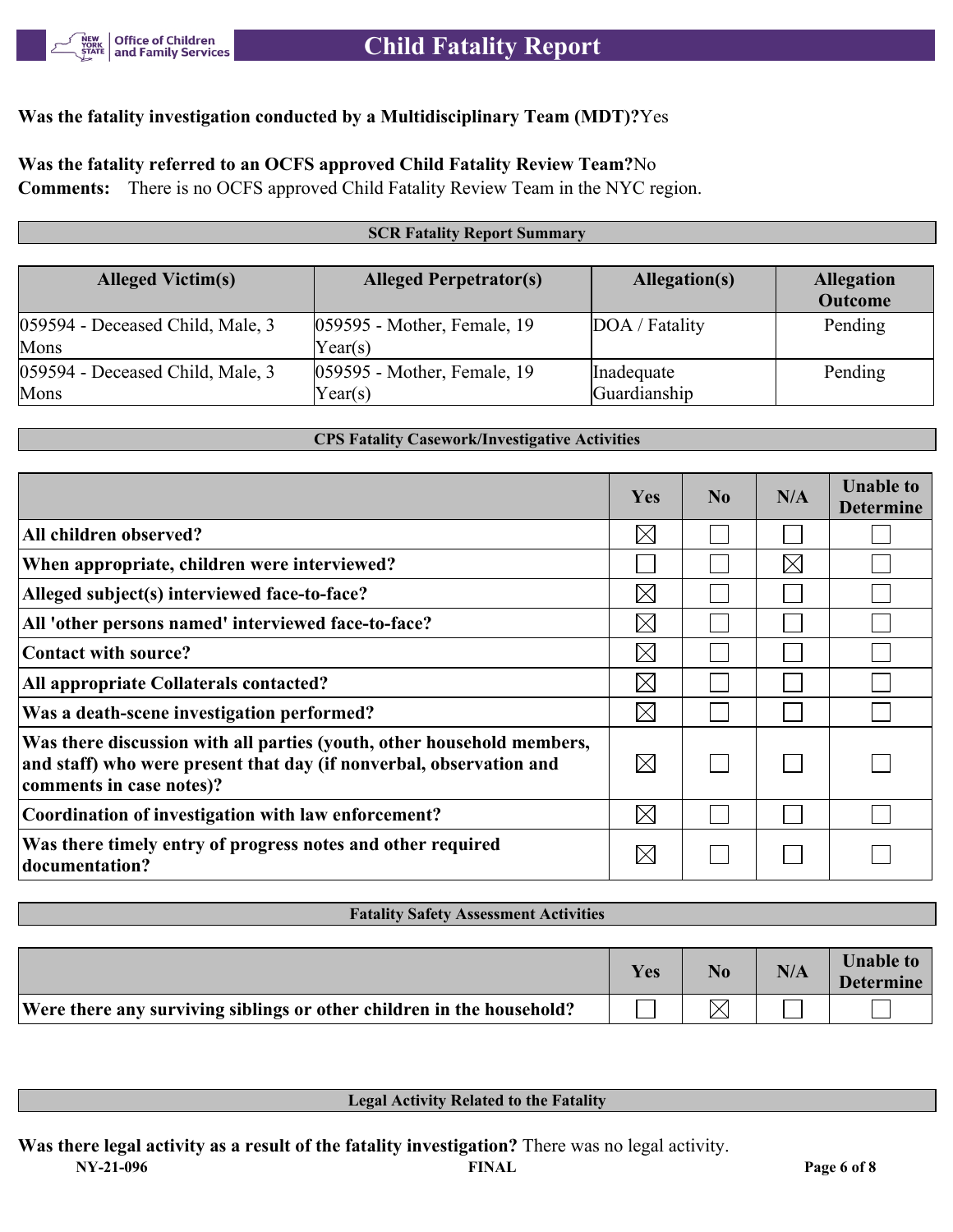

## **Was the fatality investigation conducted by a Multidisciplinary Team (MDT)?**Yes

## **Was the fatality referred to an OCFS approved Child Fatality Review Team?**No

**Comments:** There is no OCFS approved Child Fatality Review Team in the NYC region.

#### **SCR Fatality Report Summary Alleged Victim(s) Alleged Perpetrator(s) Allegation(s) Allegation Outcome** 059594 - Deceased Child, Male, 3 Mons 059595 - Mother, Female, 19 Year(s) DOA / Fatality Pending 059594 - Deceased Child, Male, 3 Mons 059595 - Mother, Female, 19 Year(s) Inadequate Guardianship Pending

#### **CPS Fatality Casework/Investigative Activities**

|                                                                                                                                                                           | <b>Yes</b>  | $\bf No$ | N/A         | <b>Unable to</b><br><b>Determine</b> |
|---------------------------------------------------------------------------------------------------------------------------------------------------------------------------|-------------|----------|-------------|--------------------------------------|
| All children observed?                                                                                                                                                    | $\boxtimes$ |          |             |                                      |
| When appropriate, children were interviewed?                                                                                                                              |             |          | $\boxtimes$ |                                      |
| Alleged subject(s) interviewed face-to-face?                                                                                                                              | $\bowtie$   |          |             |                                      |
| All 'other persons named' interviewed face-to-face?                                                                                                                       | $\boxtimes$ |          |             |                                      |
| Contact with source?                                                                                                                                                      | $\boxtimes$ |          |             |                                      |
| All appropriate Collaterals contacted?                                                                                                                                    | $\boxtimes$ |          |             |                                      |
| Was a death-scene investigation performed?                                                                                                                                | $\bowtie$   |          |             |                                      |
| Was there discussion with all parties (youth, other household members,<br>and staff) who were present that day (if nonverbal, observation and<br>comments in case notes)? | $\boxtimes$ |          |             |                                      |
| Coordination of investigation with law enforcement?                                                                                                                       | $\boxtimes$ |          |             |                                      |
| Was there timely entry of progress notes and other required<br>documentation?                                                                                             | $\boxtimes$ |          |             |                                      |

#### **Fatality Safety Assessment Activities**

|                                                                       | Yes | N <sub>o</sub> | N/A | <b>Unable to</b><br><b>Determine</b> |
|-----------------------------------------------------------------------|-----|----------------|-----|--------------------------------------|
| Were there any surviving siblings or other children in the household? |     |                |     |                                      |

**Legal Activity Related to the Fatality**

**Was there legal activity as a result of the fatality investigation?** There was no legal activity.

**NY-21-096 FINAL Page 6 of 8**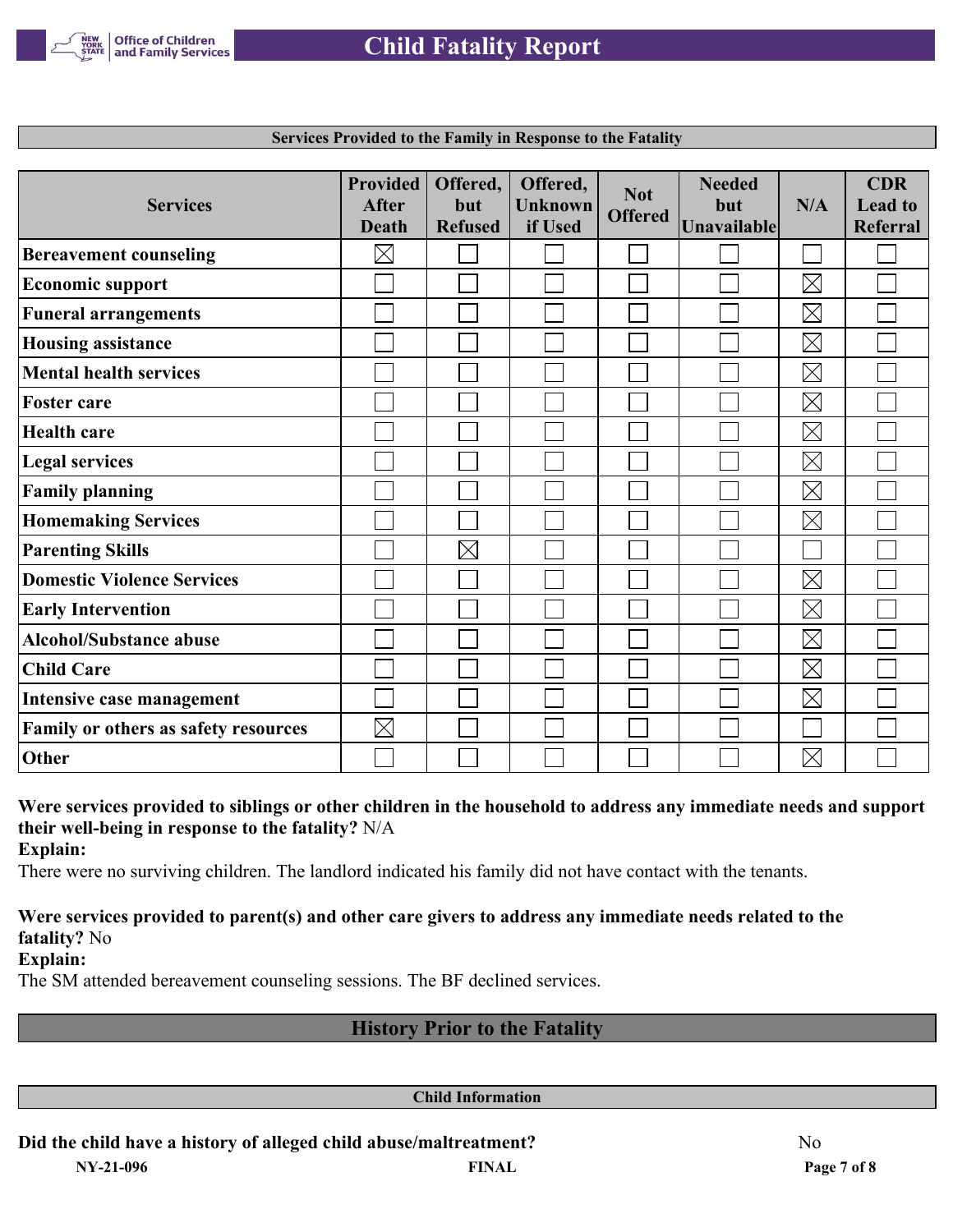

| <b>Services</b>                             | <b>Provided</b><br><b>After</b><br><b>Death</b> | Offered,<br>but<br><b>Refused</b> | Offered,<br><b>Unknown</b><br>if Used | <b>Not</b><br><b>Offered</b> | <b>Needed</b><br>but<br>Unavailable | N/A         | <b>CDR</b><br><b>Lead to</b><br>Referral |
|---------------------------------------------|-------------------------------------------------|-----------------------------------|---------------------------------------|------------------------------|-------------------------------------|-------------|------------------------------------------|
| <b>Bereavement counseling</b>               | $\boxtimes$                                     |                                   |                                       |                              |                                     |             |                                          |
| <b>Economic support</b>                     |                                                 |                                   |                                       |                              |                                     | $\boxtimes$ |                                          |
| <b>Funeral arrangements</b>                 |                                                 |                                   |                                       |                              |                                     | $\boxtimes$ |                                          |
| <b>Housing assistance</b>                   |                                                 |                                   |                                       |                              |                                     | $\boxtimes$ |                                          |
| <b>Mental health services</b>               |                                                 |                                   |                                       |                              |                                     | $\boxtimes$ |                                          |
| <b>Foster care</b>                          |                                                 |                                   |                                       |                              |                                     | $\boxtimes$ |                                          |
| <b>Health care</b>                          |                                                 |                                   |                                       |                              |                                     | $\boxtimes$ |                                          |
| <b>Legal services</b>                       |                                                 |                                   |                                       |                              |                                     | $\boxtimes$ |                                          |
| <b>Family planning</b>                      |                                                 |                                   |                                       |                              |                                     | $\boxtimes$ |                                          |
| <b>Homemaking Services</b>                  |                                                 |                                   |                                       |                              |                                     | $\boxtimes$ |                                          |
| <b>Parenting Skills</b>                     |                                                 | $\boxtimes$                       |                                       |                              |                                     |             |                                          |
| <b>Domestic Violence Services</b>           |                                                 |                                   |                                       |                              |                                     | $\boxtimes$ |                                          |
| <b>Early Intervention</b>                   |                                                 |                                   |                                       |                              |                                     | $\boxtimes$ |                                          |
| <b>Alcohol/Substance abuse</b>              |                                                 |                                   |                                       |                              |                                     | $\boxtimes$ |                                          |
| <b>Child Care</b>                           |                                                 |                                   |                                       |                              |                                     | $\boxtimes$ |                                          |
| Intensive case management                   |                                                 |                                   |                                       |                              |                                     | $\boxtimes$ |                                          |
| <b>Family or others as safety resources</b> | $\boxtimes$                                     |                                   |                                       |                              |                                     |             |                                          |
| Other                                       |                                                 |                                   |                                       |                              |                                     | $\boxtimes$ |                                          |

**Services Provided to the Family in Response to the Fatality**

**Were services provided to siblings or other children in the household to address any immediate needs and support their well-being in response to the fatality?** N/A

**Explain:**

There were no surviving children. The landlord indicated his family did not have contact with the tenants.

### **Were services provided to parent(s) and other care givers to address any immediate needs related to the fatality?** No

**Explain:**

The SM attended bereavement counseling sessions. The BF declined services.

## **History Prior to the Fatality**

**Child Information**

## **Did the child have a history of alleged child abuse/maltreatment?** No